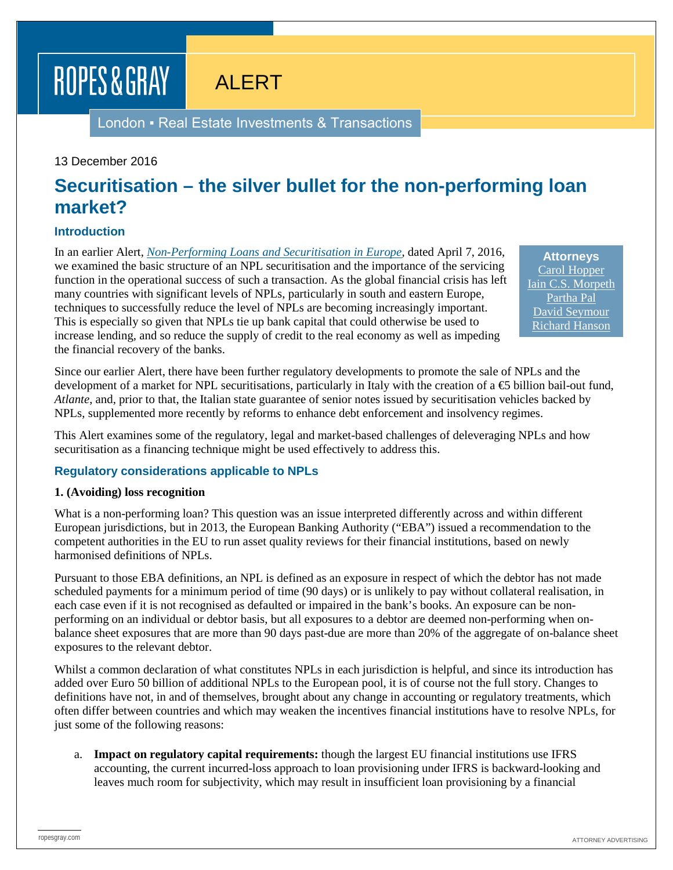# ROPES & GRAY

ALERT

London ▪ Real Estate Investments & Transactions

#### 13 December 2016

### **Securitisation – the silver bullet for the non-performing loan market?**

#### **Introduction**

In an earlier Alert, *[Non-Performing Loans and Securitisation in Europe,](https://www.ropesgray.com/newsroom/alerts/2016/April/Non-Performing-Loans-and-Securitisation-in-Europe.aspx)* dated April 7, 2016, we examined the basic structure of an NPL securitisation and the importance of the servicing function in the operational success of such a transaction. As the global financial crisis has left many countries with significant levels of NPLs, particularly in south and eastern Europe, techniques to successfully reduce the level of NPLs are becoming increasingly important. This is especially so given that NPLs tie up bank capital that could otherwise be used to increase lending, and so reduce the supply of credit to the real economy as well as impeding the financial recovery of the banks.

**Attorneys** [Carol Hopper](https://www.ropesgray.com/biographies/h/carol-hopper.aspx) [Iain C.S. Morpeth](https://www.ropesgray.com/biographies/m/iain-cs-morpeth.aspx) [Partha Pal](https://www.ropesgray.com/biographies/p/partha-pal.aspx) [David Seymour](https://www.ropesgray.com/biographies/s/david-seymour.aspx) [Richard Hanson](https://www.ropesgray.com/biographies/h/Hanson-Richard.aspx)

Since our earlier Alert, there have been further regulatory developments to promote the sale of NPLs and the development of a market for NPL securitisations, particularly in Italy with the creation of a  $\bigoplus$  billion bail-out fund, *Atlante*, and, prior to that, the Italian state guarantee of senior notes issued by securitisation vehicles backed by NPLs, supplemented more recently by reforms to enhance debt enforcement and insolvency regimes.

This Alert examines some of the regulatory, legal and market-based challenges of deleveraging NPLs and how securitisation as a financing technique might be used effectively to address this.

#### **Regulatory considerations applicable to NPLs**

#### **1. (Avoiding) loss recognition**

What is a non-performing loan? This question was an issue interpreted differently across and within different European jurisdictions, but in 2013, the European Banking Authority ("EBA") issued a recommendation to the competent authorities in the EU to run asset quality reviews for their financial institutions, based on newly harmonised definitions of NPLs.

Pursuant to those EBA definitions, an NPL is defined as an exposure in respect of which the debtor has not made scheduled payments for a minimum period of time (90 days) or is unlikely to pay without collateral realisation, in each case even if it is not recognised as defaulted or impaired in the bank's books. An exposure can be nonperforming on an individual or debtor basis, but all exposures to a debtor are deemed non-performing when onbalance sheet exposures that are more than 90 days past-due are more than 20% of the aggregate of on-balance sheet exposures to the relevant debtor.

Whilst a common declaration of what constitutes NPLs in each jurisdiction is helpful, and since its introduction has added over Euro 50 billion of additional NPLs to the European pool, it is of course not the full story. Changes to definitions have not, in and of themselves, brought about any change in accounting or regulatory treatments, which often differ between countries and which may weaken the incentives financial institutions have to resolve NPLs, for just some of the following reasons:

a. **Impact on regulatory capital requirements:** though the largest EU financial institutions use IFRS accounting, the current incurred-loss approach to loan provisioning under IFRS is backward-looking and leaves much room for subjectivity, which may result in insufficient loan provisioning by a financial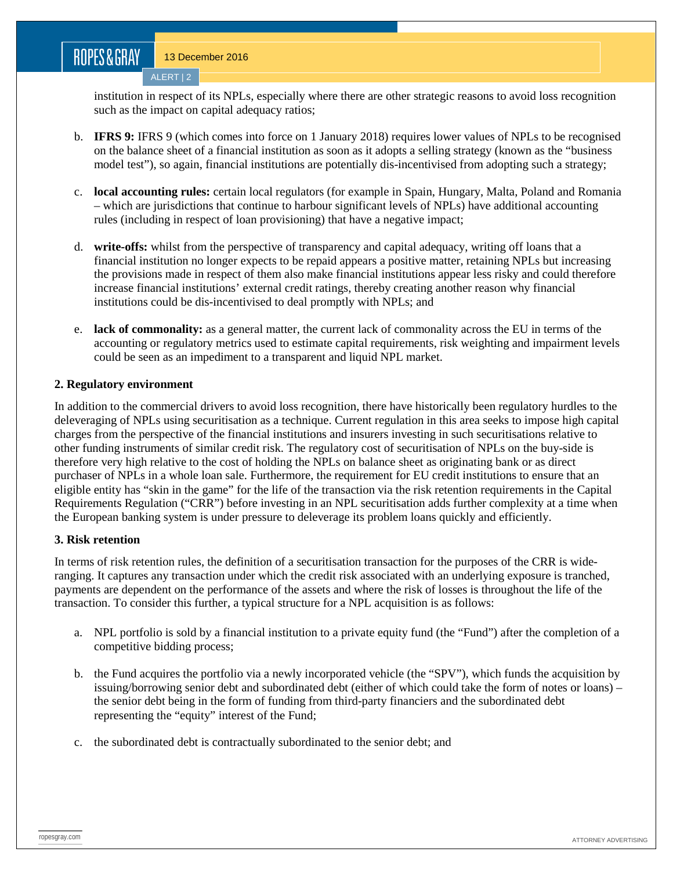### ROPES&GRAY

institution in respect of its NPLs, especially where there are other strategic reasons to avoid loss recognition such as the impact on capital adequacy ratios;

- b. **IFRS 9:** IFRS 9 (which comes into force on 1 January 2018) requires lower values of NPLs to be recognised on the balance sheet of a financial institution as soon as it adopts a selling strategy (known as the "business model test"), so again, financial institutions are potentially dis-incentivised from adopting such a strategy;
- c. **local accounting rules:** certain local regulators (for example in Spain, Hungary, Malta, Poland and Romania – which are jurisdictions that continue to harbour significant levels of NPLs) have additional accounting rules (including in respect of loan provisioning) that have a negative impact;
- d. **write-offs:** whilst from the perspective of transparency and capital adequacy, writing off loans that a financial institution no longer expects to be repaid appears a positive matter, retaining NPLs but increasing the provisions made in respect of them also make financial institutions appear less risky and could therefore increase financial institutions' external credit ratings, thereby creating another reason why financial institutions could be dis-incentivised to deal promptly with NPLs; and
- e. **lack of commonality:** as a general matter, the current lack of commonality across the EU in terms of the accounting or regulatory metrics used to estimate capital requirements, risk weighting and impairment levels could be seen as an impediment to a transparent and liquid NPL market.

#### **2. Regulatory environment**

In addition to the commercial drivers to avoid loss recognition, there have historically been regulatory hurdles to the deleveraging of NPLs using securitisation as a technique. Current regulation in this area seeks to impose high capital charges from the perspective of the financial institutions and insurers investing in such securitisations relative to other funding instruments of similar credit risk. The regulatory cost of securitisation of NPLs on the buy-side is therefore very high relative to the cost of holding the NPLs on balance sheet as originating bank or as direct purchaser of NPLs in a whole loan sale. Furthermore, the requirement for EU credit institutions to ensure that an eligible entity has "skin in the game" for the life of the transaction via the risk retention requirements in the Capital Requirements Regulation ("CRR") before investing in an NPL securitisation adds further complexity at a time when the European banking system is under pressure to deleverage its problem loans quickly and efficiently.

#### **3. Risk retention**

In terms of risk retention rules, the definition of a securitisation transaction for the purposes of the CRR is wideranging. It captures any transaction under which the credit risk associated with an underlying exposure is tranched, payments are dependent on the performance of the assets and where the risk of losses is throughout the life of the transaction. To consider this further, a typical structure for a NPL acquisition is as follows:

- a. NPL portfolio is sold by a financial institution to a private equity fund (the "Fund") after the completion of a competitive bidding process;
- b. the Fund acquires the portfolio via a newly incorporated vehicle (the "SPV"), which funds the acquisition by issuing/borrowing senior debt and subordinated debt (either of which could take the form of notes or loans) – the senior debt being in the form of funding from third-party financiers and the subordinated debt representing the "equity" interest of the Fund;
- c. the subordinated debt is contractually subordinated to the senior debt; and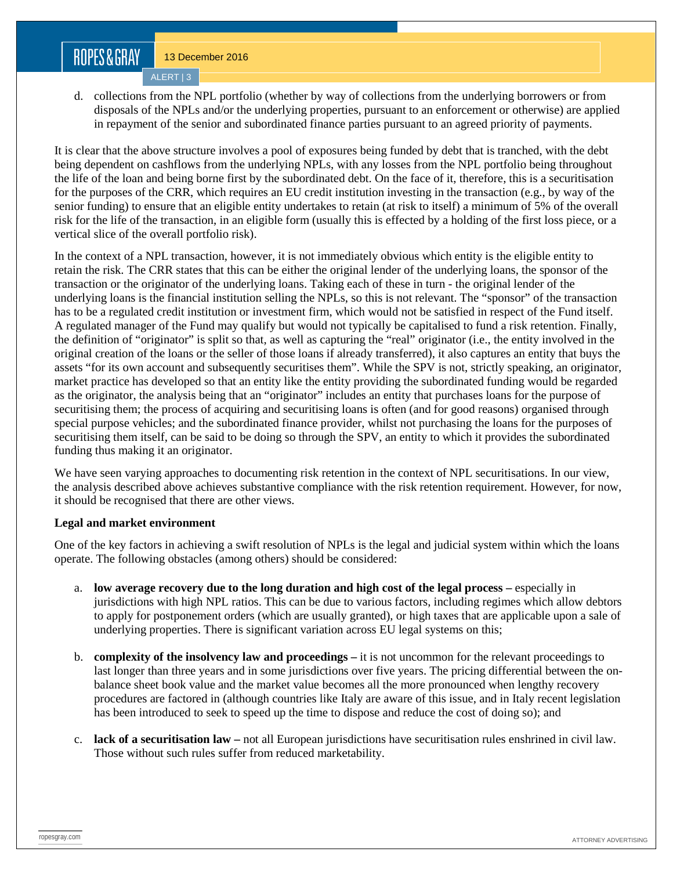## ROPES&GRAY

13 December 2016 ALERT | 3

d. collections from the NPL portfolio (whether by way of collections from the underlying borrowers or from disposals of the NPLs and/or the underlying properties, pursuant to an enforcement or otherwise) are applied in repayment of the senior and subordinated finance parties pursuant to an agreed priority of payments.

It is clear that the above structure involves a pool of exposures being funded by debt that is tranched, with the debt being dependent on cashflows from the underlying NPLs, with any losses from the NPL portfolio being throughout the life of the loan and being borne first by the subordinated debt. On the face of it, therefore, this is a securitisation for the purposes of the CRR, which requires an EU credit institution investing in the transaction (e.g., by way of the senior funding) to ensure that an eligible entity undertakes to retain (at risk to itself) a minimum of 5% of the overall risk for the life of the transaction, in an eligible form (usually this is effected by a holding of the first loss piece, or a vertical slice of the overall portfolio risk).

In the context of a NPL transaction, however, it is not immediately obvious which entity is the eligible entity to retain the risk. The CRR states that this can be either the original lender of the underlying loans, the sponsor of the transaction or the originator of the underlying loans. Taking each of these in turn - the original lender of the underlying loans is the financial institution selling the NPLs, so this is not relevant. The "sponsor" of the transaction has to be a regulated credit institution or investment firm, which would not be satisfied in respect of the Fund itself. A regulated manager of the Fund may qualify but would not typically be capitalised to fund a risk retention. Finally, the definition of "originator" is split so that, as well as capturing the "real" originator (i.e., the entity involved in the original creation of the loans or the seller of those loans if already transferred), it also captures an entity that buys the assets "for its own account and subsequently securitises them". While the SPV is not, strictly speaking, an originator, market practice has developed so that an entity like the entity providing the subordinated funding would be regarded as the originator, the analysis being that an "originator" includes an entity that purchases loans for the purpose of securitising them; the process of acquiring and securitising loans is often (and for good reasons) organised through special purpose vehicles; and the subordinated finance provider, whilst not purchasing the loans for the purposes of securitising them itself, can be said to be doing so through the SPV, an entity to which it provides the subordinated funding thus making it an originator.

We have seen varying approaches to documenting risk retention in the context of NPL securitisations. In our view, the analysis described above achieves substantive compliance with the risk retention requirement. However, for now, it should be recognised that there are other views.

#### **Legal and market environment**

One of the key factors in achieving a swift resolution of NPLs is the legal and judicial system within which the loans operate. The following obstacles (among others) should be considered:

- a. **low average recovery due to the long duration and high cost of the legal process –** especially in jurisdictions with high NPL ratios. This can be due to various factors, including regimes which allow debtors to apply for postponement orders (which are usually granted), or high taxes that are applicable upon a sale of underlying properties. There is significant variation across EU legal systems on this;
- b. **complexity of the insolvency law and proceedings –** it is not uncommon for the relevant proceedings to last longer than three years and in some jurisdictions over five years. The pricing differential between the onbalance sheet book value and the market value becomes all the more pronounced when lengthy recovery procedures are factored in (although countries like Italy are aware of this issue, and in Italy recent legislation has been introduced to seek to speed up the time to dispose and reduce the cost of doing so); and
- c. **lack of a securitisation law –** not all European jurisdictions have securitisation rules enshrined in civil law. Those without such rules suffer from reduced marketability.